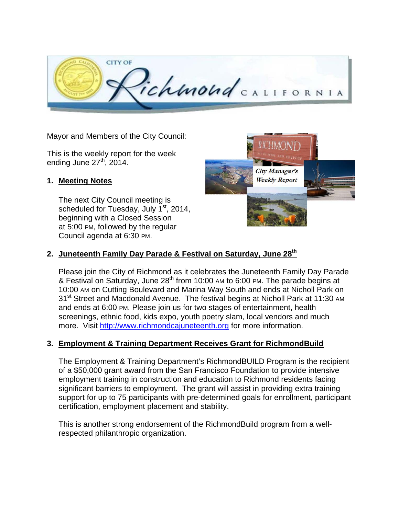

Mayor and Members of the City Council:

This is the weekly report for the week ending June  $27<sup>th</sup>$ , 2014.

#### **1. Meeting Notes**

The next City Council meeting is scheduled for Tuesday, July  $1<sup>st</sup>$ , 2014, beginning with a Closed Session at 5:00 PM, followed by the regular Council agenda at 6:30 PM.



# 2. Juneteenth Family Day Parade & Festival on Saturday, June 28<sup>th</sup>

Please join the City of Richmond as it celebrates the Juneteenth Family Day Parade & Festival on Saturday, June  $28<sup>th</sup>$  from 10:00 AM to 6:00 PM. The parade begins at 10:00 AM on Cutting Boulevard and Marina Way South and ends at Nicholl Park on 31<sup>st</sup> Street and Macdonald Avenue. The festival begins at Nicholl Park at 11:30 AM and ends at 6:00 PM. Please join us for two stages of entertainment, health screenings, ethnic food, kids expo, youth poetry slam, local vendors and much more. Visit http://www.richmondcajuneteenth.org for more information.

#### **3. Employment & Training Department Receives Grant for RichmondBuild**

The Employment & Training Department's RichmondBUILD Program is the recipient of a \$50,000 grant award from the San Francisco Foundation to provide intensive employment training in construction and education to Richmond residents facing significant barriers to employment. The grant will assist in providing extra training support for up to 75 participants with pre-determined goals for enrollment, participant certification, employment placement and stability.

This is another strong endorsement of the RichmondBuild program from a wellrespected philanthropic organization.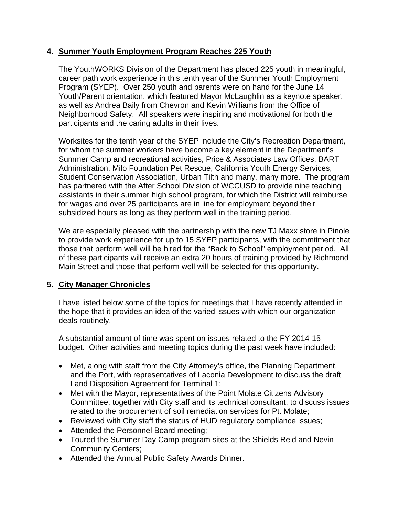## **4. Summer Youth Employment Program Reaches 225 Youth**

The YouthWORKS Division of the Department has placed 225 youth in meaningful, career path work experience in this tenth year of the Summer Youth Employment Program (SYEP). Over 250 youth and parents were on hand for the June 14 Youth/Parent orientation, which featured Mayor McLaughlin as a keynote speaker, as well as Andrea Baily from Chevron and Kevin Williams from the Office of Neighborhood Safety. All speakers were inspiring and motivational for both the participants and the caring adults in their lives.

Worksites for the tenth year of the SYEP include the City's Recreation Department, for whom the summer workers have become a key element in the Department's Summer Camp and recreational activities, Price & Associates Law Offices, BART Administration, Milo Foundation Pet Rescue, California Youth Energy Services, Student Conservation Association, Urban Tilth and many, many more. The program has partnered with the After School Division of WCCUSD to provide nine teaching assistants in their summer high school program, for which the District will reimburse for wages and over 25 participants are in line for employment beyond their subsidized hours as long as they perform well in the training period.

We are especially pleased with the partnership with the new TJ Maxx store in Pinole to provide work experience for up to 15 SYEP participants, with the commitment that those that perform well will be hired for the "Back to School" employment period. All of these participants will receive an extra 20 hours of training provided by Richmond Main Street and those that perform well will be selected for this opportunity.

## **5. City Manager Chronicles**

I have listed below some of the topics for meetings that I have recently attended in the hope that it provides an idea of the varied issues with which our organization deals routinely.

A substantial amount of time was spent on issues related to the FY 2014-15 budget. Other activities and meeting topics during the past week have included:

- Met, along with staff from the City Attorney's office, the Planning Department, and the Port, with representatives of Laconia Development to discuss the draft Land Disposition Agreement for Terminal 1;
- Met with the Mayor, representatives of the Point Molate Citizens Advisory Committee, together with City staff and its technical consultant, to discuss issues related to the procurement of soil remediation services for Pt. Molate;
- Reviewed with City staff the status of HUD regulatory compliance issues;
- Attended the Personnel Board meeting;
- Toured the Summer Day Camp program sites at the Shields Reid and Nevin Community Centers;
- Attended the Annual Public Safety Awards Dinner.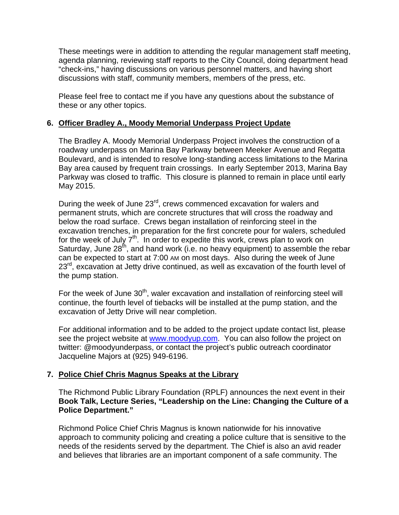These meetings were in addition to attending the regular management staff meeting, agenda planning, reviewing staff reports to the City Council, doing department head "check-ins," having discussions on various personnel matters, and having short discussions with staff, community members, members of the press, etc.

Please feel free to contact me if you have any questions about the substance of these or any other topics.

#### **6. Officer Bradley A., Moody Memorial Underpass Project Update**

The Bradley A. Moody Memorial Underpass Project involves the construction of a roadway underpass on Marina Bay Parkway between Meeker Avenue and Regatta Boulevard, and is intended to resolve long-standing access limitations to the Marina Bay area caused by frequent train crossings. In early September 2013, Marina Bay Parkway was closed to traffic. This closure is planned to remain in place until early May 2015.

During the week of June 23<sup>rd</sup>, crews commenced excavation for walers and permanent struts, which are concrete structures that will cross the roadway and below the road surface. Crews began installation of reinforcing steel in the excavation trenches, in preparation for the first concrete pour for walers, scheduled for the week of July  $7<sup>th</sup>$ . In order to expedite this work, crews plan to work on Saturday, June  $28^{th}$ , and hand work (i.e. no heavy equipment) to assemble the rebar can be expected to start at 7:00 AM on most days. Also during the week of June  $23<sup>rd</sup>$ , excavation at Jetty drive continued, as well as excavation of the fourth level of the pump station.

For the week of June  $30<sup>th</sup>$ , waler excavation and installation of reinforcing steel will continue, the fourth level of tiebacks will be installed at the pump station, and the excavation of Jetty Drive will near completion.

For additional information and to be added to the project update contact list, please see the project website at www.moodyup.com. You can also follow the project on twitter: @moodyunderpass, or contact the project's public outreach coordinator Jacqueline Majors at (925) 949-6196.

## **7. Police Chief Chris Magnus Speaks at the Library**

The Richmond Public Library Foundation (RPLF) announces the next event in their **Book Talk, Lecture Series, "Leadership on the Line: Changing the Culture of a Police Department."**

Richmond Police Chief Chris Magnus is known nationwide for his innovative approach to community policing and creating a police culture that is sensitive to the needs of the residents served by the department. The Chief is also an avid reader and believes that libraries are an important component of a safe community. The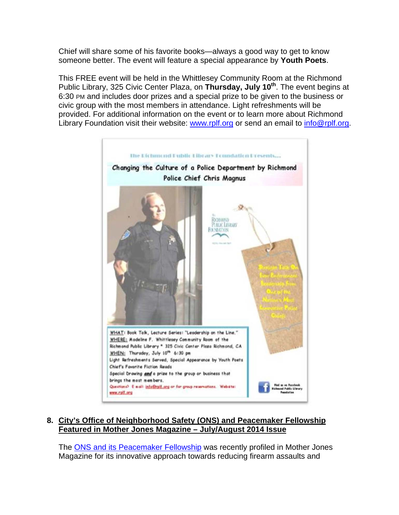Chief will share some of his favorite books—always a good way to get to know someone better. The event will feature a special appearance by **Youth Poets**.

This FREE event will be held in the Whittlesey Community Room at the Richmond Public Library, 325 Civic Center Plaza, on **Thursday, July 10th**. The event begins at 6:30 PM and includes door prizes and a special prize to be given to the business or civic group with the most members in attendance. Light refreshments will be provided. For additional information on the event or to learn more about Richmond Library Foundation visit their website: www.rplf.org or send an email to info@rplf.org.



**8. City's Office of Neighborhood Safety (ONS) and Peacemaker Fellowship Featured in Mother Jones Magazine – July/August 2014 Issue** 

The ONS and its Peacemaker Fellowship was recently profiled in Mother Jones Magazine for its innovative approach towards reducing firearm assaults and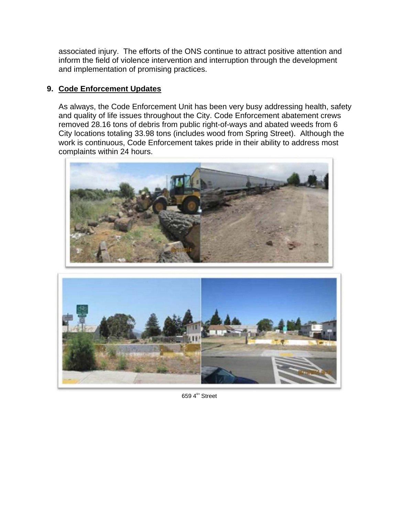associated injury. The efforts of the ONS continue to attract positive attention and inform the field of violence intervention and interruption through the development and implementation of promising practices.

## **9. Code Enforcement Updates**

As always, the Code Enforcement Unit has been very busy addressing health, safety and quality of life issues throughout the City. Code Enforcement abatement crews removed 28.16 tons of debris from public right-of-ways and abated weeds from 6 City locations totaling 33.98 tons (includes wood from Spring Street). Although the work is continuous, Code Enforcement takes pride in their ability to address most complaints within 24 hours.





659 $4<sup>th</sup>$  Street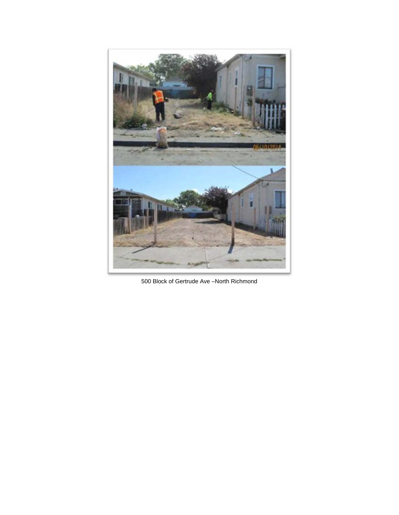

500 Block of Gertrude Ave –North Richmond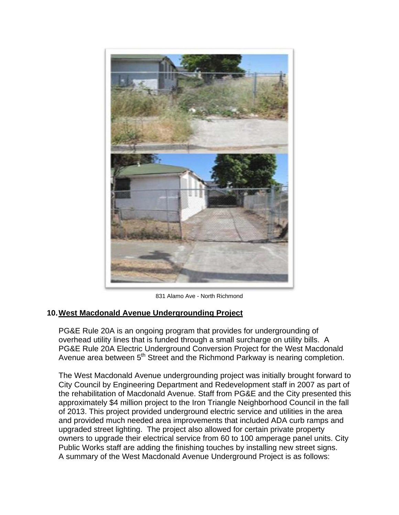

831 Alamo Ave - North Richmond

## **10. West Macdonald Avenue Undergrounding Project**

PG&E Rule 20A is an ongoing program that provides for undergrounding of overhead utility lines that is funded through a small surcharge on utility bills. A PG&E Rule 20A Electric Underground Conversion Project for the West Macdonald Avenue area between  $5<sup>th</sup>$  Street and the Richmond Parkway is nearing completion.

The West Macdonald Avenue undergrounding project was initially brought forward to City Council by Engineering Department and Redevelopment staff in 2007 as part of the rehabilitation of Macdonald Avenue. Staff from PG&E and the City presented this approximately \$4 million project to the Iron Triangle Neighborhood Council in the fall of 2013. This project provided underground electric service and utilities in the area and provided much needed area improvements that included ADA curb ramps and upgraded street lighting. The project also allowed for certain private property owners to upgrade their electrical service from 60 to 100 amperage panel units. City Public Works staff are adding the finishing touches by installing new street signs. A summary of the West Macdonald Avenue Underground Project is as follows: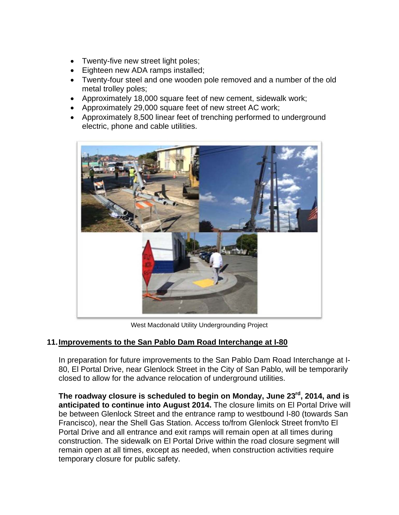- Twenty-five new street light poles;
- Eighteen new ADA ramps installed;
- Twenty-four steel and one wooden pole removed and a number of the old metal trolley poles;
- Approximately 18,000 square feet of new cement, sidewalk work;
- Approximately 29,000 square feet of new street AC work;
- Approximately 8,500 linear feet of trenching performed to underground electric, phone and cable utilities.



West Macdonald Utility Undergrounding Project

## **11. Improvements to the San Pablo Dam Road Interchange at I-80**

In preparation for future improvements to the San Pablo Dam Road Interchange at I-80, El Portal Drive, near Glenlock Street in the City of San Pablo, will be temporarily closed to allow for the advance relocation of underground utilities.

**The roadway closure is scheduled to begin on Monday, June 23rd, 2014, and is anticipated to continue into August 2014.** The closure limits on El Portal Drive will be between Glenlock Street and the entrance ramp to westbound I-80 (towards San Francisco), near the Shell Gas Station. Access to/from Glenlock Street from/to El Portal Drive and all entrance and exit ramps will remain open at all times during construction. The sidewalk on El Portal Drive within the road closure segment will remain open at all times, except as needed, when construction activities require temporary closure for public safety.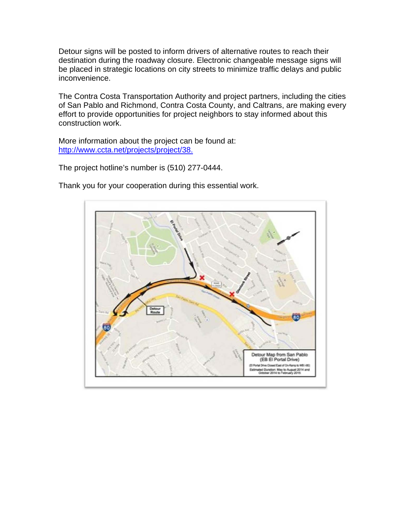Detour signs will be posted to inform drivers of alternative routes to reach their destination during the roadway closure. Electronic changeable message signs will be placed in strategic locations on city streets to minimize traffic delays and public inconvenience.

The Contra Costa Transportation Authority and project partners, including the cities of San Pablo and Richmond, Contra Costa County, and Caltrans, are making every effort to provide opportunities for project neighbors to stay informed about this construction work.

More information about the project can be found at: http://www.ccta.net/projects/project/38.

The project hotline's number is (510) 277-0444.

Thank you for your cooperation during this essential work.

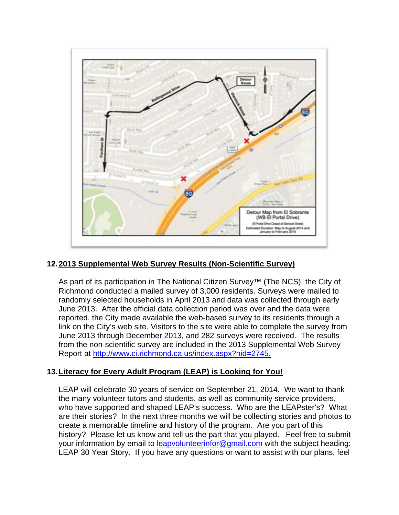

## **12. 2013 Supplemental Web Survey Results (Non-Scientific Survey)**

As part of its participation in The National Citizen Survey™ (The NCS), the City of Richmond conducted a mailed survey of 3,000 residents. Surveys were mailed to randomly selected households in April 2013 and data was collected through early June 2013. After the official data collection period was over and the data were reported, the City made available the web-based survey to its residents through a link on the City's web site. Visitors to the site were able to complete the survey from June 2013 through December 2013, and 282 surveys were received. The results from the non-scientific survey are included in the 2013 Supplemental Web Survey Report at http://www.ci.richmond.ca.us/index.aspx?nid=2745.

## **13. Literacy for Every Adult Program (LEAP) is Looking for You!**

LEAP will celebrate 30 years of service on September 21, 2014. We want to thank the many volunteer tutors and students, as well as community service providers, who have supported and shaped LEAP's success. Who are the LEAPster's? What are their stories? In the next three months we will be collecting stories and photos to create a memorable timeline and history of the program. Are you part of this history? Please let us know and tell us the part that you played. Feel free to submit your information by email to leapvolunteerinfor@gmail.com with the subject heading: LEAP 30 Year Story. If you have any questions or want to assist with our plans, feel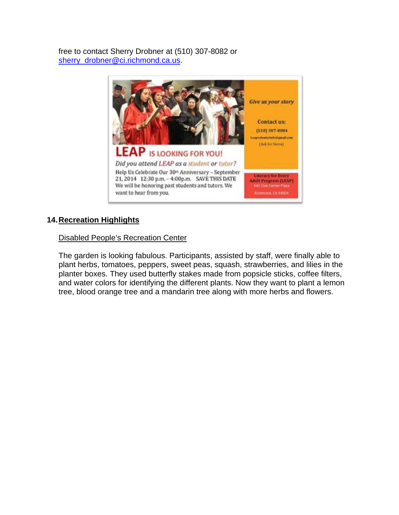free to contact Sherry Drobner at (510) 307-8082 or sherry\_drobner@ci.richmond.ca.us.



# **14. Recreation Highlights**

Disabled People's Recreation Center

The garden is looking fabulous. Participants, assisted by staff, were finally able to plant herbs, tomatoes, peppers, sweet peas, squash, strawberries, and lilies in the planter boxes. They used butterfly stakes made from popsicle sticks, coffee filters, and water colors for identifying the different plants. Now they want to plant a lemon tree, blood orange tree and a mandarin tree along with more herbs and flowers.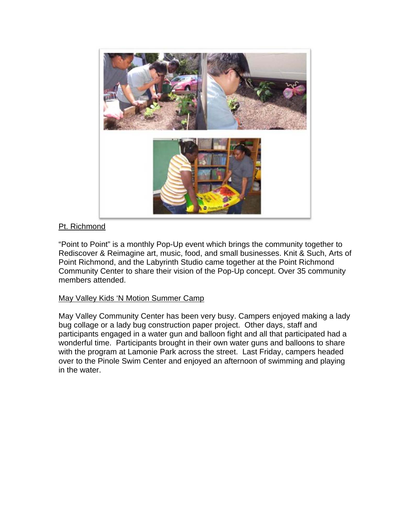

# Pt. Richmond

"Point to Point" is a monthly Pop-Up event which brings the community together to Rediscover & Reimagine art, music, food, and small businesses. Knit & Such, Arts of Point Richmond, and the Labyrinth Studio came together at the Point Richmond Community Center to share their vision of the Pop-Up concept. Over 35 community members attended.

## May Valley Kids 'N Motion Summer Camp

May Valley Community Center has been very busy. Campers enjoyed making a lady bug collage or a lady bug construction paper project. Other days, staff and participants engaged in a water gun and balloon fight and all that participated had a wonderful time. Participants brought in their own water guns and balloons to share with the program at Lamonie Park across the street. Last Friday, campers headed over to the Pinole Swim Center and enjoyed an afternoon of swimming and playing in the water.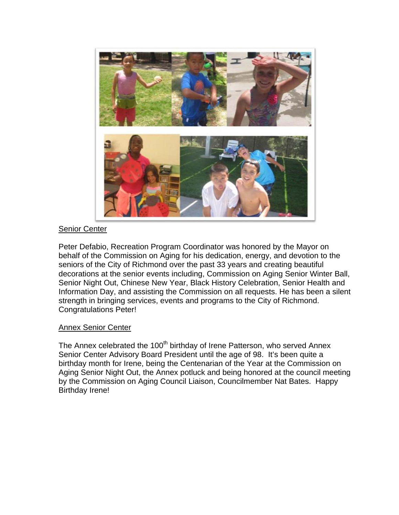

#### Senior Center

Peter Defabio, Recreation Program Coordinator was honored by the Mayor on behalf of the Commission on Aging for his dedication, energy, and devotion to the seniors of the City of Richmond over the past 33 years and creating beautiful decorations at the senior events including, Commission on Aging Senior Winter Ball, Senior Night Out, Chinese New Year, Black History Celebration, Senior Health and Information Day, and assisting the Commission on all requests. He has been a silent strength in bringing services, events and programs to the City of Richmond. Congratulations Peter!

#### Annex Senior Center

The Annex celebrated the 100<sup>th</sup> birthday of Irene Patterson, who served Annex Senior Center Advisory Board President until the age of 98. It's been quite a birthday month for Irene, being the Centenarian of the Year at the Commission on Aging Senior Night Out, the Annex potluck and being honored at the council meeting by the Commission on Aging Council Liaison, Councilmember Nat Bates. Happy Birthday Irene!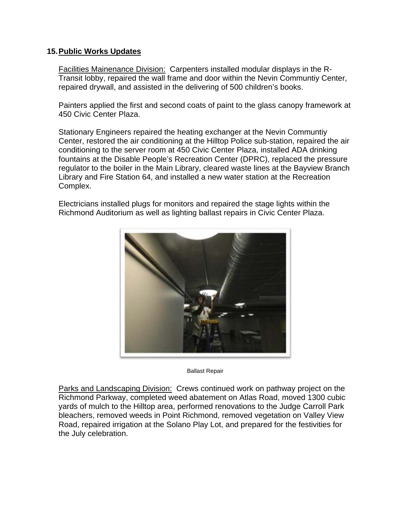#### **15. Public Works Updates**

Facilities Mainenance Division: Carpenters installed modular displays in the R-Transit lobby, repaired the wall frame and door within the Nevin Communtiy Center, repaired drywall, and assisted in the delivering of 500 children's books.

Painters applied the first and second coats of paint to the glass canopy framework at 450 Civic Center Plaza.

Stationary Engineers repaired the heating exchanger at the Nevin Communtiy Center, restored the air conditioning at the Hilltop Police sub-station, repaired the air conditioning to the server room at 450 Civic Center Plaza, installed ADA drinking fountains at the Disable People's Recreation Center (DPRC), replaced the pressure regulator to the boiler in the Main Library, cleared waste lines at the Bayview Branch Library and Fire Station 64, and installed a new water station at the Recreation Complex.

Electricians installed plugs for monitors and repaired the stage lights within the Richmond Auditorium as well as lighting ballast repairs in Civic Center Plaza.



Ballast Repair

Parks and Landscaping Division: Crews continued work on pathway project on the Richmond Parkway, completed weed abatement on Atlas Road, moved 1300 cubic yards of mulch to the Hilltop area, performed renovations to the Judge Carroll Park bleachers, removed weeds in Point Richmond, removed vegetation on Valley View Road, repaired irrigation at the Solano Play Lot, and prepared for the festivities for the July celebration.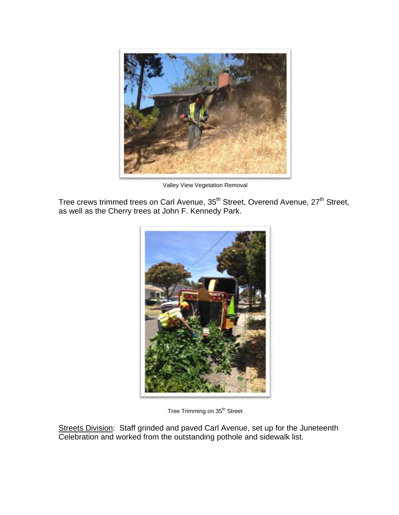

Valley View Vegetation Removal

Tree crews trimmed trees on Carl Avenue, 35<sup>th</sup> Street, Overend Avenue, 27<sup>th</sup> Street, as well as the Cherry trees at John F. Kennedy Park.



Tree Trimming on 35<sup>th</sup> Street

Streets Division: Staff grinded and paved Carl Avenue, set up for the Juneteenth Celebration and worked from the outstanding pothole and sidewalk list.